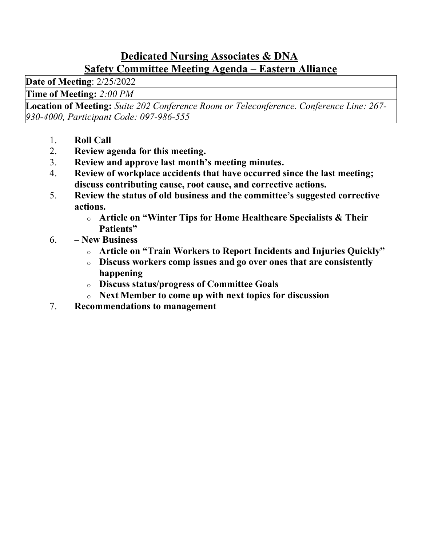### Dedicated Nursing Associates & DNA Safety Committee Meeting Agenda – Eastern Alliance

Date of Meeting: 2/25/2022

Time of Meeting: 2:00 PM

Location of Meeting: Suite 202 Conference Room or Teleconference. Conference Line: 267- 930-4000, Participant Code: 097-986-555

- 1. Roll Call
- 2. Review agenda for this meeting.
- 3. Review and approve last month's meeting minutes.
- 4. Review of workplace accidents that have occurred since the last meeting; discuss contributing cause, root cause, and corrective actions.
- 5. Review the status of old business and the committee's suggested corrective actions.
	- o Article on "Winter Tips for Home Healthcare Specialists & Their Patients"
- 6. New Business
	- o Article on "Train Workers to Report Incidents and Injuries Quickly"
	- o Discuss workers comp issues and go over ones that are consistently happening
	- o Discuss status/progress of Committee Goals
	- o Next Member to come up with next topics for discussion
- 7. Recommendations to management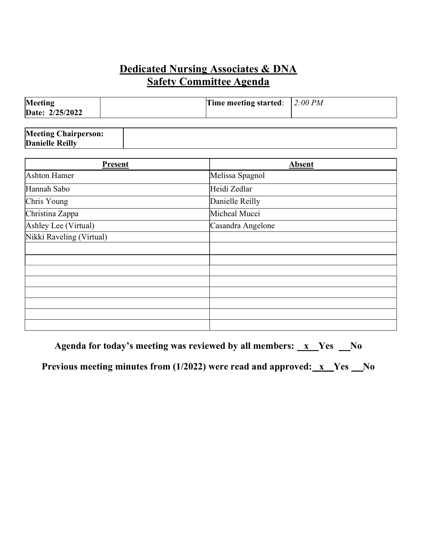# Dedicated Nursing Associates & DNA  Safety Committee Agenda

| Meeting<br>Date: 2/25/2022 | Time meeting started: $\int 2:00 \, PM$ |  |
|----------------------------|-----------------------------------------|--|
|                            |                                         |  |

| <b>Meeting Chairperson:</b> |  |
|-----------------------------|--|
| <b>Danielle Reilly</b>      |  |

| <b>Present</b>           | <b>Absent</b>     |
|--------------------------|-------------------|
| <b>Ashton Hamer</b>      | Melissa Spagnol   |
| Hannah Sabo              | Heidi Zedlar      |
| Chris Young              | Danielle Reilly   |
| Christina Zappa          | Micheal Mucci     |
| Ashley Lee (Virtual)     | Casandra Angelone |
| Nikki Raveling (Virtual) |                   |
|                          |                   |
|                          |                   |
|                          |                   |
|                          |                   |
|                          |                   |
|                          |                   |
|                          |                   |
|                          |                   |

Agenda for today's meeting was reviewed by all members:  $\mathbf{x}$  Yes  $\mathbf{N}$ o

Previous meeting minutes from  $(1/2022)$  were read and approved:  $x$  Yes  $x^0$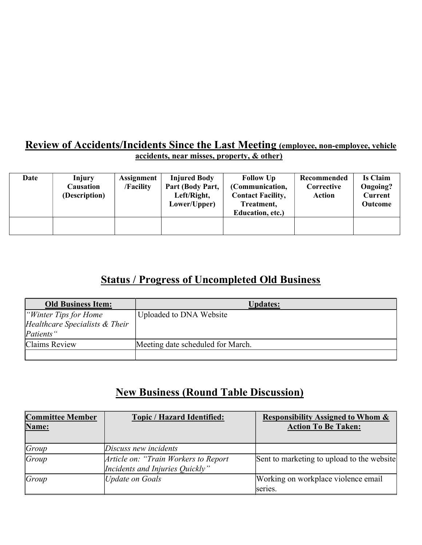#### Review of Accidents/Incidents Since the Last Meeting (employee, non-employee, vehicle accidents, near misses, property, & other)

| Date | Injury<br>Causation<br>(Description) | <b>Assignment</b><br>/Facility | <b>Injured Body</b><br>Part (Body Part,<br>Left/Right,<br>Lower/Upper) | <b>Follow Up</b><br>(Communication,<br><b>Contact Facility,</b><br>Treatment,<br>Education, etc.) | Recommended<br>Corrective<br><b>Action</b> | Is Claim<br>Ongoing?<br><b>Current</b><br>Outcome |
|------|--------------------------------------|--------------------------------|------------------------------------------------------------------------|---------------------------------------------------------------------------------------------------|--------------------------------------------|---------------------------------------------------|
|      |                                      |                                |                                                                        |                                                                                                   |                                            |                                                   |

# Status / Progress of Uncompleted Old Business

| <b>Old Business Item:</b>      | <b>Updates:</b>                   |
|--------------------------------|-----------------------------------|
| <i>Winter Tips for Home</i>    | Uploaded to DNA Website           |
| Healthcare Specialists & Their |                                   |
| Patients"                      |                                   |
| Claims Review                  | Meeting date scheduled for March. |
|                                |                                   |

# New Business (Round Table Discussion)

| <b>Committee Member</b> | <b>Topic / Hazard Identified:</b>     | <b>Responsibility Assigned to Whom &amp;</b> |
|-------------------------|---------------------------------------|----------------------------------------------|
| Name:                   |                                       | <b>Action To Be Taken:</b>                   |
|                         |                                       |                                              |
| Group                   | Discuss new incidents                 |                                              |
| Group                   | Article on: "Train Workers to Report" | Sent to marketing to upload to the website   |
|                         | Incidents and Injuries Quickly"       |                                              |
| Group                   | Update on Goals                       | Working on workplace violence email          |
|                         |                                       | lseries.                                     |